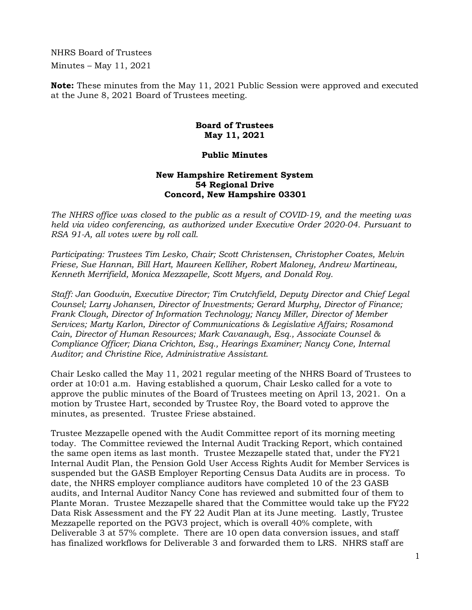NHRS Board of Trustees Minutes – May 11, 2021

**Note:** These minutes from the May 11, 2021 Public Session were approved and executed at the June 8, 2021 Board of Trustees meeting.

## **Board of Trustees May 11, 2021**

## **Public Minutes**

## **New Hampshire Retirement System 54 Regional Drive Concord, New Hampshire 03301**

*The NHRS office was closed to the public as a result of COVID-19, and the meeting was held via video conferencing, as authorized under Executive Order 2020-04. Pursuant to RSA 91-A, all votes were by roll call.* 

*Participating: Trustees Tim Lesko, Chair; Scott Christensen, Christopher Coates, Melvin Friese, Sue Hannan, Bill Hart, Maureen Kelliher, Robert Maloney, Andrew Martineau, Kenneth Merrifield, Monica Mezzapelle, Scott Myers, and Donald Roy.* 

*Staff: Jan Goodwin, Executive Director; Tim Crutchfield, Deputy Director and Chief Legal Counsel; Larry Johansen, Director of Investments; Gerard Murphy, Director of Finance; Frank Clough, Director of Information Technology; Nancy Miller, Director of Member Services; Marty Karlon, Director of Communications & Legislative Affairs; Rosamond Cain, Director of Human Resources; Mark Cavanaugh, Esq., Associate Counsel & Compliance Officer; Diana Crichton, Esq., Hearings Examiner; Nancy Cone, Internal Auditor; and Christine Rice, Administrative Assistant.*

Chair Lesko called the May 11, 2021 regular meeting of the NHRS Board of Trustees to order at 10:01 a.m. Having established a quorum, Chair Lesko called for a vote to approve the public minutes of the Board of Trustees meeting on April 13, 2021. On a motion by Trustee Hart, seconded by Trustee Roy, the Board voted to approve the minutes, as presented. Trustee Friese abstained.

Trustee Mezzapelle opened with the Audit Committee report of its morning meeting today. The Committee reviewed the Internal Audit Tracking Report, which contained the same open items as last month. Trustee Mezzapelle stated that, under the FY21 Internal Audit Plan, the Pension Gold User Access Rights Audit for Member Services is suspended but the GASB Employer Reporting Census Data Audits are in process. To date, the NHRS employer compliance auditors have completed 10 of the 23 GASB audits, and Internal Auditor Nancy Cone has reviewed and submitted four of them to Plante Moran. Trustee Mezzapelle shared that the Committee would take up the FY22 Data Risk Assessment and the FY 22 Audit Plan at its June meeting. Lastly, Trustee Mezzapelle reported on the PGV3 project, which is overall 40% complete, with Deliverable 3 at 57% complete. There are 10 open data conversion issues, and staff has finalized workflows for Deliverable 3 and forwarded them to LRS. NHRS staff are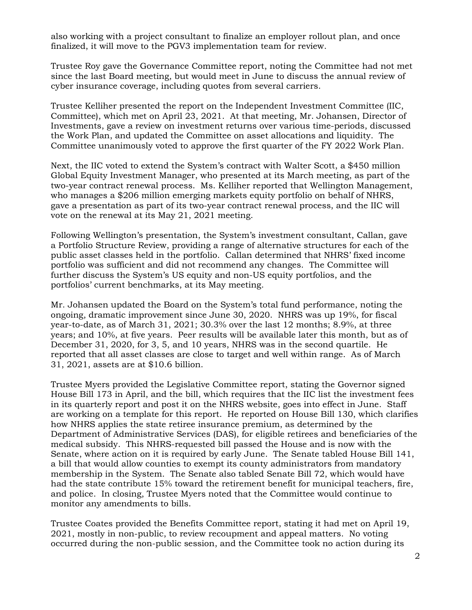also working with a project consultant to finalize an employer rollout plan, and once finalized, it will move to the PGV3 implementation team for review.

Trustee Roy gave the Governance Committee report, noting the Committee had not met since the last Board meeting, but would meet in June to discuss the annual review of cyber insurance coverage, including quotes from several carriers.

Trustee Kelliher presented the report on the Independent Investment Committee (IIC, Committee), which met on April 23, 2021. At that meeting, Mr. Johansen, Director of Investments, gave a review on investment returns over various time-periods, discussed the Work Plan, and updated the Committee on asset allocations and liquidity. The Committee unanimously voted to approve the first quarter of the FY 2022 Work Plan.

Next, the IIC voted to extend the System's contract with Walter Scott, a \$450 million Global Equity Investment Manager, who presented at its March meeting, as part of the two-year contract renewal process. Ms. Kelliher reported that Wellington Management, who manages a \$206 million emerging markets equity portfolio on behalf of NHRS, gave a presentation as part of its two-year contract renewal process, and the IIC will vote on the renewal at its May 21, 2021 meeting.

Following Wellington's presentation, the System's investment consultant, Callan, gave a Portfolio Structure Review, providing a range of alternative structures for each of the public asset classes held in the portfolio. Callan determined that NHRS' fixed income portfolio was sufficient and did not recommend any changes. The Committee will further discuss the System's US equity and non-US equity portfolios, and the portfolios' current benchmarks, at its May meeting.

Mr. Johansen updated the Board on the System's total fund performance, noting the ongoing, dramatic improvement since June 30, 2020. NHRS was up 19%, for fiscal year-to-date, as of March 31, 2021; 30.3% over the last 12 months; 8.9%, at three years; and 10%, at five years. Peer results will be available later this month, but as of December 31, 2020, for 3, 5, and 10 years, NHRS was in the second quartile. He reported that all asset classes are close to target and well within range. As of March 31, 2021, assets are at \$10.6 billion.

Trustee Myers provided the Legislative Committee report, stating the Governor signed House Bill 173 in April, and the bill, which requires that the IIC list the investment fees in its quarterly report and post it on the NHRS website, goes into effect in June. Staff are working on a template for this report. He reported on House Bill 130, which clarifies how NHRS applies the state retiree insurance premium, as determined by the Department of Administrative Services (DAS), for eligible retirees and beneficiaries of the medical subsidy. This NHRS-requested bill passed the House and is now with the Senate, where action on it is required by early June. The Senate tabled House Bill 141, a bill that would allow counties to exempt its county administrators from mandatory membership in the System. The Senate also tabled Senate Bill 72, which would have had the state contribute 15% toward the retirement benefit for municipal teachers, fire, and police. In closing, Trustee Myers noted that the Committee would continue to monitor any amendments to bills.

Trustee Coates provided the Benefits Committee report, stating it had met on April 19, 2021, mostly in non-public, to review recoupment and appeal matters. No voting occurred during the non-public session, and the Committee took no action during its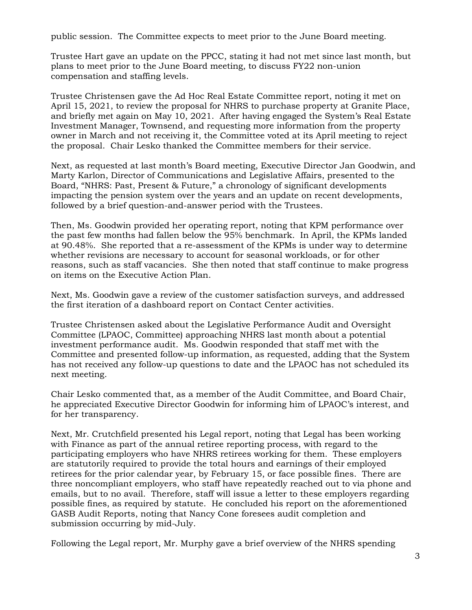public session. The Committee expects to meet prior to the June Board meeting.

Trustee Hart gave an update on the PPCC, stating it had not met since last month, but plans to meet prior to the June Board meeting, to discuss FY22 non-union compensation and staffing levels.

Trustee Christensen gave the Ad Hoc Real Estate Committee report, noting it met on April 15, 2021, to review the proposal for NHRS to purchase property at Granite Place, and briefly met again on May 10, 2021. After having engaged the System's Real Estate Investment Manager, Townsend, and requesting more information from the property owner in March and not receiving it, the Committee voted at its April meeting to reject the proposal. Chair Lesko thanked the Committee members for their service.

Next, as requested at last month's Board meeting, Executive Director Jan Goodwin, and Marty Karlon, Director of Communications and Legislative Affairs, presented to the Board, "NHRS: Past, Present & Future," a chronology of significant developments impacting the pension system over the years and an update on recent developments, followed by a brief question-and-answer period with the Trustees.

Then, Ms. Goodwin provided her operating report, noting that KPM performance over the past few months had fallen below the 95% benchmark. In April, the KPMs landed at 90.48%. She reported that a re-assessment of the KPMs is under way to determine whether revisions are necessary to account for seasonal workloads, or for other reasons, such as staff vacancies. She then noted that staff continue to make progress on items on the Executive Action Plan.

Next, Ms. Goodwin gave a review of the customer satisfaction surveys, and addressed the first iteration of a dashboard report on Contact Center activities.

Trustee Christensen asked about the Legislative Performance Audit and Oversight Committee (LPAOC, Committee) approaching NHRS last month about a potential investment performance audit. Ms. Goodwin responded that staff met with the Committee and presented follow-up information, as requested, adding that the System has not received any follow-up questions to date and the LPAOC has not scheduled its next meeting.

Chair Lesko commented that, as a member of the Audit Committee, and Board Chair, he appreciated Executive Director Goodwin for informing him of LPAOC's interest, and for her transparency.

Next, Mr. Crutchfield presented his Legal report, noting that Legal has been working with Finance as part of the annual retiree reporting process, with regard to the participating employers who have NHRS retirees working for them. These employers are statutorily required to provide the total hours and earnings of their employed retirees for the prior calendar year, by February 15, or face possible fines. There are three noncompliant employers, who staff have repeatedly reached out to via phone and emails, but to no avail. Therefore, staff will issue a letter to these employers regarding possible fines, as required by statute. He concluded his report on the aforementioned GASB Audit Reports, noting that Nancy Cone foresees audit completion and submission occurring by mid-July.

Following the Legal report, Mr. Murphy gave a brief overview of the NHRS spending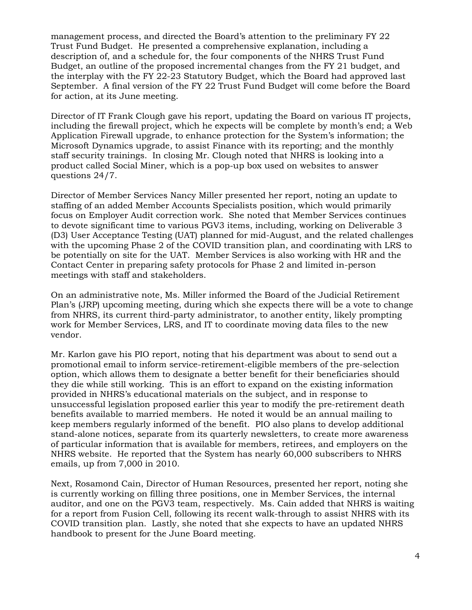management process, and directed the Board's attention to the preliminary FY 22 Trust Fund Budget. He presented a comprehensive explanation, including a description of, and a schedule for, the four components of the NHRS Trust Fund Budget, an outline of the proposed incremental changes from the FY 21 budget, and the interplay with the FY 22-23 Statutory Budget, which the Board had approved last September. A final version of the FY 22 Trust Fund Budget will come before the Board for action, at its June meeting.

Director of IT Frank Clough gave his report, updating the Board on various IT projects, including the firewall project, which he expects will be complete by month's end; a Web Application Firewall upgrade, to enhance protection for the System's information; the Microsoft Dynamics upgrade, to assist Finance with its reporting; and the monthly staff security trainings. In closing Mr. Clough noted that NHRS is looking into a product called Social Miner, which is a pop-up box used on websites to answer questions 24/7.

Director of Member Services Nancy Miller presented her report, noting an update to staffing of an added Member Accounts Specialists position, which would primarily focus on Employer Audit correction work. She noted that Member Services continues to devote significant time to various PGV3 items, including, working on Deliverable 3 (D3) User Acceptance Testing (UAT) planned for mid-August, and the related challenges with the upcoming Phase 2 of the COVID transition plan, and coordinating with LRS to be potentially on site for the UAT. Member Services is also working with HR and the Contact Center in preparing safety protocols for Phase 2 and limited in-person meetings with staff and stakeholders.

On an administrative note, Ms. Miller informed the Board of the Judicial Retirement Plan's (JRP) upcoming meeting, during which she expects there will be a vote to change from NHRS, its current third-party administrator, to another entity, likely prompting work for Member Services, LRS, and IT to coordinate moving data files to the new vendor.

Mr. Karlon gave his PIO report, noting that his department was about to send out a promotional email to inform service-retirement-eligible members of the pre-selection option, which allows them to designate a better benefit for their beneficiaries should they die while still working. This is an effort to expand on the existing information provided in NHRS's educational materials on the subject, and in response to unsuccessful legislation proposed earlier this year to modify the pre-retirement death benefits available to married members. He noted it would be an annual mailing to keep members regularly informed of the benefit. PIO also plans to develop additional stand-alone notices, separate from its quarterly newsletters, to create more awareness of particular information that is available for members, retirees, and employers on the NHRS website. He reported that the System has nearly 60,000 subscribers to NHRS emails, up from 7,000 in 2010.

Next, Rosamond Cain, Director of Human Resources, presented her report, noting she is currently working on filling three positions, one in Member Services, the internal auditor, and one on the PGV3 team, respectively. Ms. Cain added that NHRS is waiting for a report from Fusion Cell, following its recent walk-through to assist NHRS with its COVID transition plan. Lastly, she noted that she expects to have an updated NHRS handbook to present for the June Board meeting.